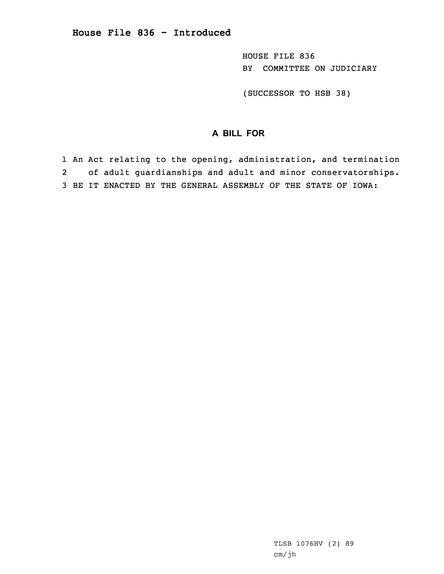HOUSE FILE 836 BY COMMITTEE ON JUDICIARY

(SUCCESSOR TO HSB 38)

# **A BILL FOR**

1 An Act relating to the opening, administration, and termination 2 of adult guardianships and adult and minor conservatorships. 3 BE IT ENACTED BY THE GENERAL ASSEMBLY OF THE STATE OF IOWA:

> TLSB 1076HV (2) 89 cm/jh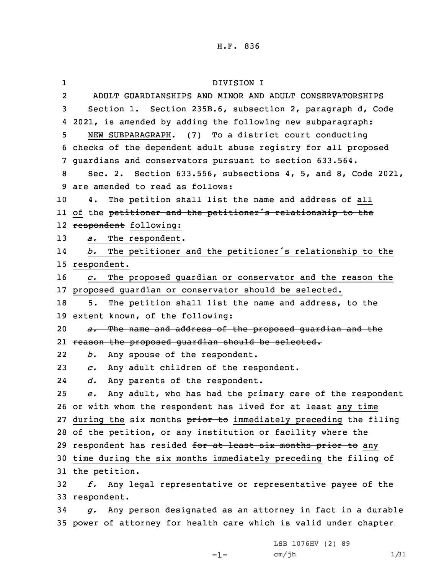1 DIVISION I 2 ADULT GUARDIANSHIPS AND MINOR AND ADULT CONSERVATORSHIPS Section 1. Section 235B.6, subsection 2, paragraph d, Code 2021, is amended by adding the following new subparagraph: NEW SUBPARAGRAPH. (7) To <sup>a</sup> district court conducting checks of the dependent adult abuse registry for all proposed guardians and conservators pursuant to section 633.564. Sec. 2. Section 633.556, subsections 4, 5, and 8, Code 2021, are amended to read as follows: 4. The petition shall list the name and address of all ll of the <del>petitioner and the petitioner's relationship to the</del> 12 <del>respondent</del> following: *a.* The respondent. 14 *b.* The petitioner and the petitioner's relationship to the respondent. *c.* The proposed guardian or conservator and the reason the proposed guardian or conservator should be selected. 5. The petition shall list the name and address, to the extent known, of the following: *a.* The name and address of the proposed guardian and the reason the proposed guardian should be selected. 22 *b.* Any spouse of the respondent. *c.* Any adult children of the respondent. 24 *d.* Any parents of the respondent. *e.* Any adult, who has had the primary care of the respondent 26 or with whom the respondent has lived for at least any time 27 during the six months prior to immediately preceding the filing of the petition, or any institution or facility where the 29 respondent has resided for at least six months prior to any time during the six months immediately preceding the filing of the petition. *f.* Any legal representative or representative payee of the respondent. *g.* Any person designated as an attorney in fact in <sup>a</sup> durable power of attorney for health care which is valid under chapter

-1-

LSB 1076HV (2) 89 cm/jh 1/31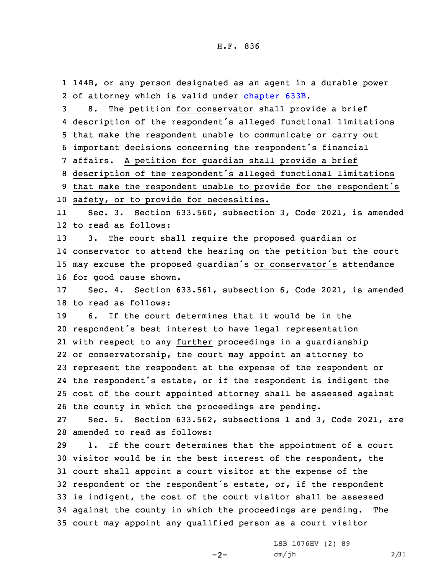1 144B, or any person designated as an agent in <sup>a</sup> durable power 2 of attorney which is valid under [chapter](https://www.legis.iowa.gov/docs/code/2021/633B.pdf) 633B.

 8. The petition for conservator shall provide <sup>a</sup> brief description of the respondent's alleged functional limitations that make the respondent unable to communicate or carry out important decisions concerning the respondent's financial affairs. <sup>A</sup> petition for guardian shall provide <sup>a</sup> brief description of the respondent's alleged functional limitations

<sup>9</sup> that make the respondent unable to provide for the respondent's 10 safety, or to provide for necessities.

11 Sec. 3. Section 633.560, subsection 3, Code 2021, is amended 12 to read as follows:

 3. The court shall require the proposed guardian or conservator to attend the hearing on the petition but the court may excuse the proposed guardian's or conservator's attendance for good cause shown.

17 Sec. 4. Section 633.561, subsection 6, Code 2021, is amended 18 to read as follows:

 6. If the court determines that it would be in the respondent's best interest to have legal representation with respect to any further proceedings in <sup>a</sup> guardianship or conservatorship, the court may appoint an attorney to represent the respondent at the expense of the respondent or the respondent's estate, or if the respondent is indigent the cost of the court appointed attorney shall be assessed against the county in which the proceedings are pending.

27 Sec. 5. Section 633.562, subsections 1 and 3, Code 2021, are 28 amended to read as follows:

 1. If the court determines that the appointment of <sup>a</sup> court visitor would be in the best interest of the respondent, the court shall appoint <sup>a</sup> court visitor at the expense of the respondent or the respondent's estate, or, if the respondent is indigent, the cost of the court visitor shall be assessed against the county in which the proceedings are pending. The court may appoint any qualified person as <sup>a</sup> court visitor

 $-2-$ 

LSB 1076HV (2) 89  $cm/jh$  2/31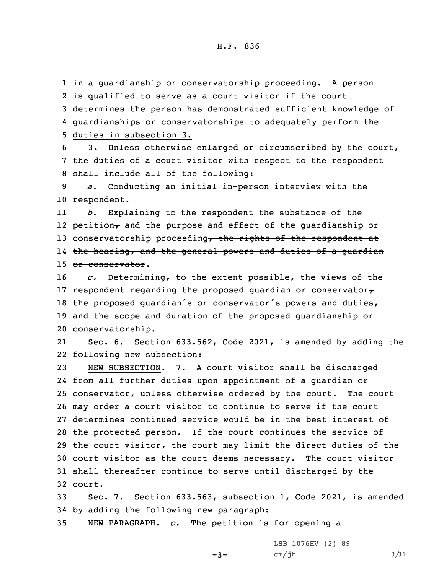in <sup>a</sup> guardianship or conservatorship proceeding. <sup>A</sup> person is qualified to serve as <sup>a</sup> court visitor if the court determines the person has demonstrated sufficient knowledge of guardianships or conservatorships to adequately perform the duties in subsection 3. 3. Unless otherwise enlarged or circumscribed by the court, the duties of <sup>a</sup> court visitor with respect to the respondent shall include all of the following: *a.* Conducting an initial in-person interview with the respondent. 11 *b.* Explaining to the respondent the substance of the 12 petition $_{\mathcal{T}}$  and the purpose and effect of the guardianship or 13 conservatorship proceeding, the rights of the respondent at the hearing, and the general powers and duties of <sup>a</sup> guardian 15 or conservator. *c.* Determining, to the extent possible, the views of the 17 respondent regarding the proposed guardian or conservator $\tau$ 18 the proposed quardian's or conservator's powers and duties, and the scope and duration of the proposed guardianship or conservatorship. 21 Sec. 6. Section 633.562, Code 2021, is amended by adding the following new subsection: NEW SUBSECTION. 7. <sup>A</sup> court visitor shall be discharged from all further duties upon appointment of <sup>a</sup> guardian or conservator, unless otherwise ordered by the court. The court may order <sup>a</sup> court visitor to continue to serve if the court determines continued service would be in the best interest of the protected person. If the court continues the service of the court visitor, the court may limit the direct duties of the court visitor as the court deems necessary. The court visitor shall thereafter continue to serve until discharged by the 32 court.

33 Sec. 7. Section 633.563, subsection 1, Code 2021, is amended 34 by adding the following new paragraph:

 $-3-$ 

35 NEW PARAGRAPH. *c.* The petition is for opening <sup>a</sup>

LSB 1076HV (2) 89 cm/jh 3/31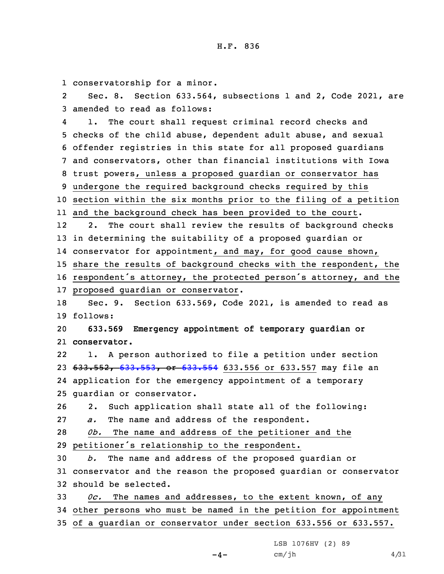1 conservatorship for <sup>a</sup> minor.

2 Sec. 8. Section 633.564, subsections 1 and 2, Code 2021, are 3 amended to read as follows:

4 1. The court shall request criminal record checks and checks of the child abuse, dependent adult abuse, and sexual offender registries in this state for all proposed guardians and conservators, other than financial institutions with Iowa trust powers, unless <sup>a</sup> proposed guardian or conservator has undergone the required background checks required by this section within the six months prior to the filing of <sup>a</sup> petition and the background check has been provided to the court. 12 2. The court shall review the results of background checks in determining the suitability of <sup>a</sup> proposed guardian or conservator for appointment, and may, for good cause shown, share the results of background checks with the respondent, the respondent's attorney, the protected person's attorney, and the proposed guardian or conservator. Sec. 9. Section 633.569, Code 2021, is amended to read as 19 follows: **633.569 Emergency appointment of temporary guardian or conservator.** 22 1. <sup>A</sup> person authorized to file <sup>a</sup> petition under section 23 633.552, [633.553](https://www.legis.iowa.gov/docs/code/2021/633.553.pdf), or [633.554](https://www.legis.iowa.gov/docs/code/2021/633.554.pdf) 633.556 or 633.557 may file an application for the emergency appointment of <sup>a</sup> temporary guardian or conservator. 2. Such application shall state all of the following: *a.* The name and address of the respondent. *0b.* The name and address of the petitioner and the petitioner's relationship to the respondent. *b.* The name and address of the proposed guardian or conservator and the reason the proposed guardian or conservator should be selected. *0c.* The names and addresses, to the extent known, of any other persons who must be named in the petition for appointment of <sup>a</sup> guardian or conservator under section 633.556 or 633.557.

LSB 1076HV (2) 89

 $-4-$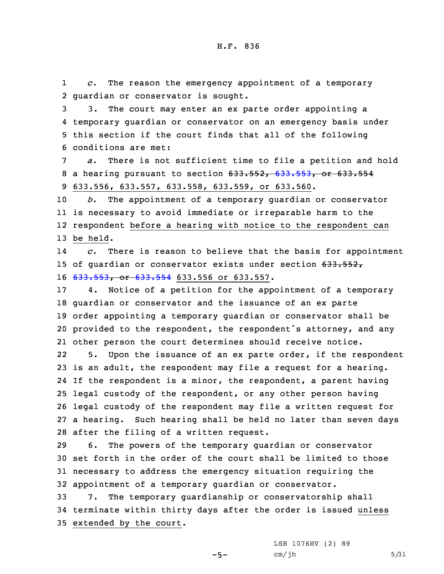1 *c.* The reason the emergency appointment of <sup>a</sup> temporary 2 guardian or conservator is sought.

 3. The court may enter an ex parte order appointing <sup>a</sup> temporary guardian or conservator on an emergency basis under this section if the court finds that all of the following conditions are met:

7 *a.* There is not sufficient time to file <sup>a</sup> petition and hold 8 a hearing pursuant to section 633.552, [633.553](https://www.legis.iowa.gov/docs/code/2021/633.553.pdf), or 633.554 9 633.556, 633.557, 633.558, 633.559, or 633.560.

 *b.* The appointment of <sup>a</sup> temporary guardian or conservator is necessary to avoid immediate or irreparable harm to the respondent before <sup>a</sup> hearing with notice to the respondent can 13 be held.

14 *c.* There is reason to believe that the basis for appointment 15 of guardian or conservator exists under section 633.552, 16 [633.553](https://www.legis.iowa.gov/docs/code/2021/633.553.pdf), or [633.554](https://www.legis.iowa.gov/docs/code/2021/633.554.pdf) 633.556 or 633.557.

 4. Notice of <sup>a</sup> petition for the appointment of <sup>a</sup> temporary guardian or conservator and the issuance of an ex parte order appointing <sup>a</sup> temporary guardian or conservator shall be provided to the respondent, the respondent's attorney, and any other person the court determines should receive notice.

22 5. Upon the issuance of an ex parte order, if the respondent is an adult, the respondent may file <sup>a</sup> request for <sup>a</sup> hearing. If the respondent is <sup>a</sup> minor, the respondent, <sup>a</sup> parent having legal custody of the respondent, or any other person having legal custody of the respondent may file <sup>a</sup> written request for <sup>a</sup> hearing. Such hearing shall be held no later than seven days after the filing of <sup>a</sup> written request.

 6. The powers of the temporary guardian or conservator set forth in the order of the court shall be limited to those necessary to address the emergency situation requiring the appointment of <sup>a</sup> temporary guardian or conservator.

33 7. The temporary guardianship or conservatorship shall 34 terminate within thirty days after the order is issued unless 35 extended by the court.

 $-5-$ 

LSB 1076HV (2) 89  $cm/jh$  5/31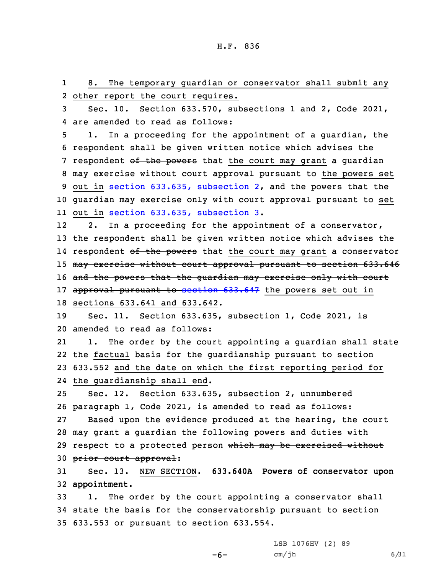1 8. The temporary guardian or conservator shall submit any other report the court requires. Sec. 10. Section 633.570, subsections 1 and 2, Code 2021, are amended to read as follows: 1. In <sup>a</sup> proceeding for the appointment of <sup>a</sup> guardian, the respondent shall be given written notice which advises the 7 respondent of the powers that the court may grant a quardian 8 may exercise without court approval pursuant to the powers set 9 out in section 633.635, [subsection](https://www.legis.iowa.gov/docs/code/2021/633.635.pdf) 2, and the powers that the guardian may exercise only with court approval pursuant to set out in section 633.635, [subsection](https://www.legis.iowa.gov/docs/code/2021/633.635.pdf) 3. 12 2. In <sup>a</sup> proceeding for the appointment of <sup>a</sup> conservator, the respondent shall be given written notice which advises the 14 respondent <del>of the powers</del> that the court may grant a conservator 15 may exercise without court approval pursuant to section 633.646 16 and the powers that the guardian may exercise only with court 17 approval pursuant to section [633.647](https://www.legis.iowa.gov/docs/code/2021/633.647.pdf) the powers set out in sections 633.641 and 633.642. Sec. 11. Section 633.635, subsection 1, Code 2021, is amended to read as follows: 21 1. The order by the court appointing <sup>a</sup> guardian shall state the factual basis for the guardianship pursuant to section 633.552 and the date on which the first reporting period for the guardianship shall end. Sec. 12. Section 633.635, subsection 2, unnumbered paragraph 1, Code 2021, is amended to read as follows: Based upon the evidence produced at the hearing, the court may grant <sup>a</sup> guardian the following powers and duties with 29 respect to a protected person which may be exercised without prior court approval: Sec. 13. NEW SECTION. **633.640A Powers of conservator upon appointment.** 1. The order by the court appointing <sup>a</sup> conservator shall state the basis for the conservatorship pursuant to section

-6-

35 633.553 or pursuant to section 633.554.

LSB 1076HV (2) 89  $cm/jh$  6/31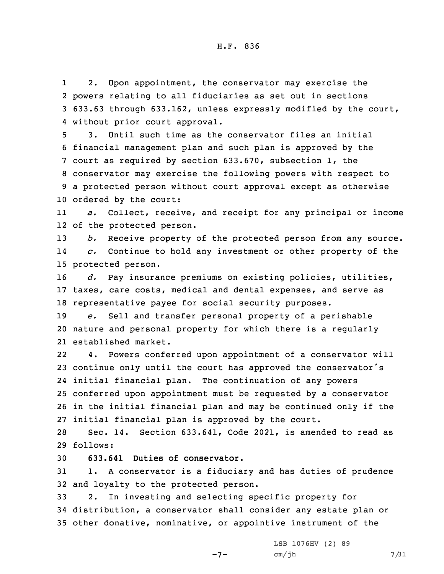1 2. Upon appointment, the conservator may exercise the 2 powers relating to all fiduciaries as set out in sections 3 633.63 through 633.162, unless expressly modified by the court, 4 without prior court approval.

 3. Until such time as the conservator files an initial financial management plan and such plan is approved by the court as required by section 633.670, subsection 1, the conservator may exercise the following powers with respect to <sup>a</sup> protected person without court approval except as otherwise ordered by the court:

11 *a.* Collect, receive, and receipt for any principal or income 12 of the protected person.

13 *b.* Receive property of the protected person from any source. 14 *c.* Continue to hold any investment or other property of the 15 protected person.

16 *d.* Pay insurance premiums on existing policies, utilities, 17 taxes, care costs, medical and dental expenses, and serve as 18 representative payee for social security purposes.

19 *e.* Sell and transfer personal property of <sup>a</sup> perishable 20 nature and personal property for which there is <sup>a</sup> regularly 21 established market.

22 4. Powers conferred upon appointment of <sup>a</sup> conservator will continue only until the court has approved the conservator's initial financial plan. The continuation of any powers conferred upon appointment must be requested by <sup>a</sup> conservator in the initial financial plan and may be continued only if the initial financial plan is approved by the court.

28 Sec. 14. Section 633.641, Code 2021, is amended to read as 29 follows:

30 **633.641 Duties of conservator.**

31 1. <sup>A</sup> conservator is <sup>a</sup> fiduciary and has duties of prudence 32 and loyalty to the protected person.

33 2. In investing and selecting specific property for 34 distribution, <sup>a</sup> conservator shall consider any estate plan or 35 other donative, nominative, or appointive instrument of the

 $-7-$ 

LSB 1076HV (2) 89  $cm/jh$  7/31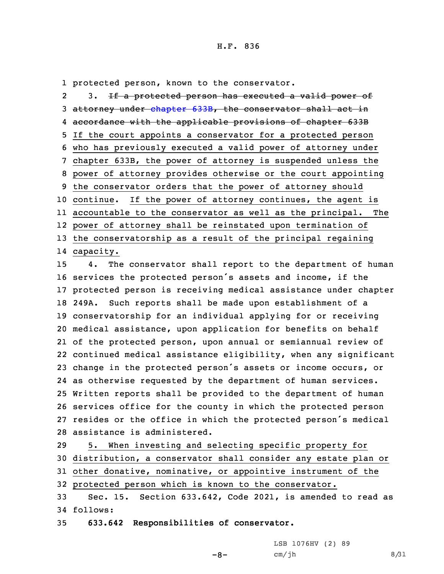#### H.F. 836

1 protected person, known to the conservator.

2 3. If <sup>a</sup> protected person has executed <sup>a</sup> valid power of attorney under [chapter](https://www.legis.iowa.gov/docs/code/2021/633B.pdf) 633B, the conservator shall act in accordance with the applicable provisions of chapter 633B If the court appoints <sup>a</sup> conservator for <sup>a</sup> protected person who has previously executed <sup>a</sup> valid power of attorney under chapter 633B, the power of attorney is suspended unless the power of attorney provides otherwise or the court appointing the conservator orders that the power of attorney should continue. If the power of attorney continues, the agent is accountable to the conservator as well as the principal. The power of attorney shall be reinstated upon termination of the conservatorship as <sup>a</sup> result of the principal regaining

14 capacity.

 4. The conservator shall report to the department of human services the protected person's assets and income, if the protected person is receiving medical assistance under chapter 249A. Such reports shall be made upon establishment of <sup>a</sup> conservatorship for an individual applying for or receiving medical assistance, upon application for benefits on behalf of the protected person, upon annual or semiannual review of continued medical assistance eligibility, when any significant change in the protected person's assets or income occurs, or as otherwise requested by the department of human services. Written reports shall be provided to the department of human services office for the county in which the protected person resides or the office in which the protected person's medical assistance is administered.

 5. When investing and selecting specific property for distribution, <sup>a</sup> conservator shall consider any estate plan or other donative, nominative, or appointive instrument of the protected person which is known to the conservator. Sec. 15. Section 633.642, Code 2021, is amended to read as

 $-8-$ 

34 follows:

35 **633.642 Responsibilities of conservator.**

LSB 1076HV (2) 89  $cm/jh$  8/31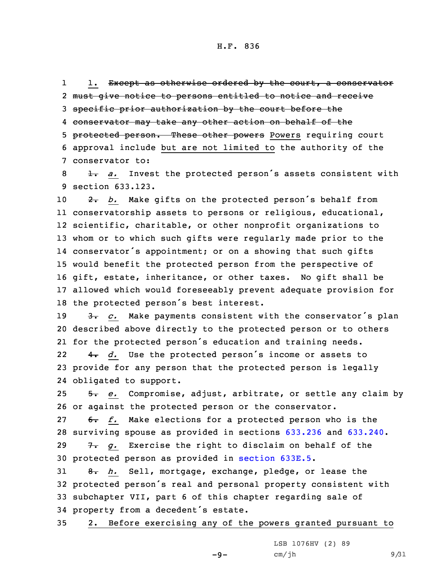11. Except as otherwise ordered by the court, a conservator must give notice to persons entitled to notice and receive specific prior authorization by the court before the conservator may take any other action on behalf of the 5 protected person. These other powers Powers requiring court approval include but are not limited to the authority of the conservator to:

8 1. *a.* Invest the protected person's assets consistent with 9 section 633.123.

 $\rightarrow$  2. *b.* Make gifts on the protected person's behalf from conservatorship assets to persons or religious, educational, scientific, charitable, or other nonprofit organizations to whom or to which such gifts were regularly made prior to the conservator's appointment; or on <sup>a</sup> showing that such gifts would benefit the protected person from the perspective of gift, estate, inheritance, or other taxes. No gift shall be allowed which would foreseeably prevent adequate provision for the protected person's best interest.

19 3. *c.* Make payments consistent with the conservator's plan 20 described above directly to the protected person or to others 21 for the protected person's education and training needs.

22 4. *d.* Use the protected person's income or assets to 23 provide for any person that the protected person is legally 24 obligated to support.

25 5. *e.* Compromise, adjust, arbitrate, or settle any claim by 26 or against the protected person or the conservator.

27 6. *f.* Make elections for a protected person who is the surviving spouse as provided in sections [633.236](https://www.legis.iowa.gov/docs/code/2021/633.236.pdf) and [633.240](https://www.legis.iowa.gov/docs/code/2021/633.240.pdf). 7. *g.* Exercise the right to disclaim on behalf of the protected person as provided in [section](https://www.legis.iowa.gov/docs/code/2021/633E.5.pdf) 633E.5.

 8. *h.* Sell, mortgage, exchange, pledge, or lease the protected person's real and personal property consistent with subchapter VII, part 6 of this chapter regarding sale of property from <sup>a</sup> decedent's estate.

35 2. Before exercising any of the powers granted pursuant to

 $-9-$ 

LSB 1076HV (2) 89  $cm/jh$  9/31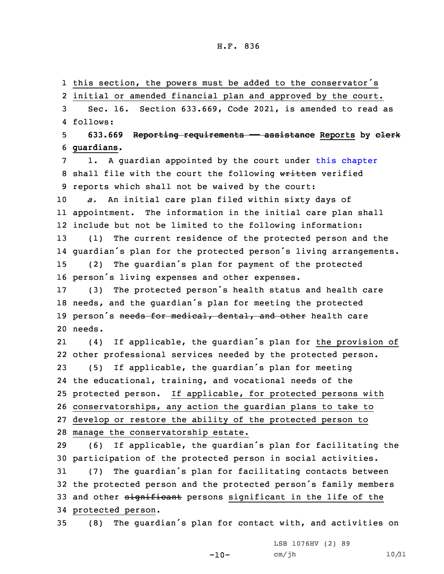### H.F. 836

1 this section, the powers must be added to the conservator's

2 initial or amended financial plan and approved by the court.

3 Sec. 16. Section 633.669, Code 2021, is amended to read as 4 follows:

5 **633.669 Reporting requirements —— assistance Reports by clerk** 6 **guardians.**

7 1. A guardian appointed by the court under this [chapter](https://www.legis.iowa.gov/docs/code/2021/633.pdf) 8 shall file with the court the following written verified 9 reports which shall not be waived by the court:

 *a.* An initial care plan filed within sixty days of appointment. The information in the initial care plan shall include but not be limited to the following information: (1) The current residence of the protected person and the guardian's plan for the protected person's living arrangements. (2) The guardian's plan for payment of the protected

<sup>16</sup> person's living expenses and other expenses.

<sup>17</sup> (3) The protected person's health status and health care <sup>18</sup> needs, and the guardian's plan for meeting the protected 19 person's needs for medical, dental, and other health care 20 needs.

21 (4) If applicable, the guardian's plan for the provision of other professional services needed by the protected person. (5) If applicable, the guardian's plan for meeting the educational, training, and vocational needs of the protected person. If applicable, for protected persons with conservatorships, any action the guardian plans to take to develop or restore the ability of the protected person to

28 manage the conservatorship estate.

 (6) If applicable, the guardian's plan for facilitating the participation of the protected person in social activities. (7) The guardian's plan for facilitating contacts between the protected person and the protected person's family members 33 and other significant persons significant in the life of the protected person.

<sup>35</sup> (8) The guardian's plan for contact with, and activities on

 $-10-$ 

LSB 1076HV (2) 89 cm/jh 10/31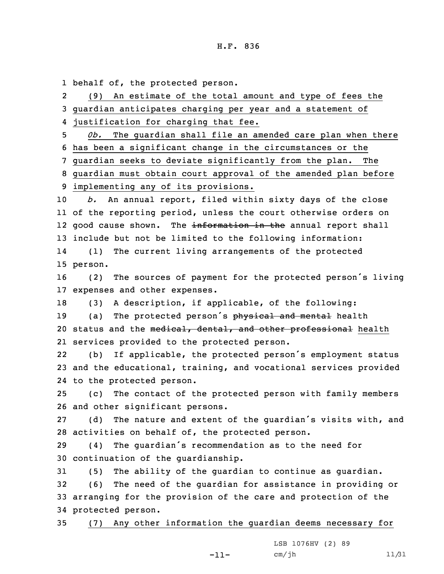1 behalf of, the protected person.

2 (9) An estimate of the total amount and type of fees the guardian anticipates charging per year and <sup>a</sup> statement of justification for charging that fee. *0b.* The guardian shall file an amended care plan when there has been <sup>a</sup> significant change in the circumstances or the guardian seeks to deviate significantly from the plan. The guardian must obtain court approval of the amended plan before implementing any of its provisions. *b.* An annual report, filed within sixty days of the close of the reporting period, unless the court otherwise orders on 12 good cause shown. The <del>information in the</del> annual report shall include but not be limited to the following information: 14 (1) The current living arrangements of the protected 15 person. (2) The sources of payment for the protected person's living expenses and other expenses. (3) <sup>A</sup> description, if applicable, of the following: 19 (a) The protected person's physical and mental health 20 status and the medical, dental, and other professional health services provided to the protected person. 22 (b) If applicable, the protected person's employment status and the educational, training, and vocational services provided to the protected person. (c) The contact of the protected person with family members and other significant persons. (d) The nature and extent of the guardian's visits with, and activities on behalf of, the protected person. (4) The guardian's recommendation as to the need for continuation of the guardianship. (5) The ability of the guardian to continue as guardian. (6) The need of the guardian for assistance in providing or arranging for the provision of the care and protection of the protected person.

35 (7) Any other information the guardian deems necessary for

-11-

LSB 1076HV (2) 89 cm/jh 11/31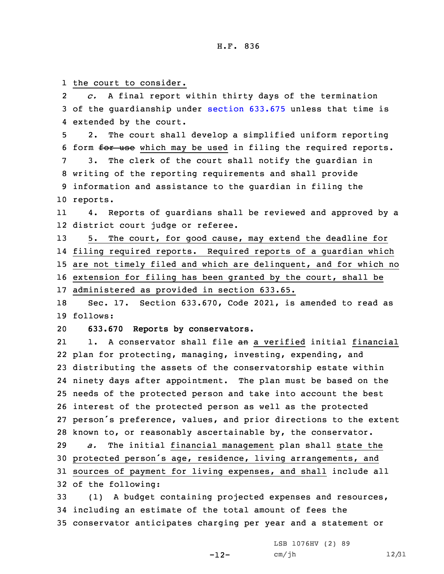1 the court to consider.

2 *c.* <sup>A</sup> final report within thirty days of the termination 3 of the guardianship under section [633.675](https://www.legis.iowa.gov/docs/code/2021/633.675.pdf) unless that time is 4 extended by the court.

5 2. The court shall develop <sup>a</sup> simplified uniform reporting 6 form for use which may be used in filing the required reports.

 3. The clerk of the court shall notify the guardian in writing of the reporting requirements and shall provide information and assistance to the guardian in filing the 10 reports.

11 4. Reports of guardians shall be reviewed and approved by <sup>a</sup> 12 district court judge or referee.

 5. The court, for good cause, may extend the deadline for filing required reports. Required reports of <sup>a</sup> guardian which are not timely filed and which are delinquent, and for which no extension for filing has been granted by the court, shall be administered as provided in section 633.65.

18 Sec. 17. Section 633.670, Code 2021, is amended to read as 19 follows:

20 **633.670 Reports by conservators.**

21 1. A conservator shall file an <sup>a</sup> verified initial financial plan for protecting, managing, investing, expending, and distributing the assets of the conservatorship estate within ninety days after appointment. The plan must be based on the needs of the protected person and take into account the best interest of the protected person as well as the protected person's preference, values, and prior directions to the extent known to, or reasonably ascertainable by, the conservator. *a.* The initial financial management plan shall state the protected person's age, residence, living arrangements, and sources of payment for living expenses, and shall include all of the following:

33 (1) <sup>A</sup> budget containing projected expenses and resources, 34 including an estimate of the total amount of fees the 35 conservator anticipates charging per year and <sup>a</sup> statement or

> LSB 1076HV (2) 89 cm/jh 12/31

-12-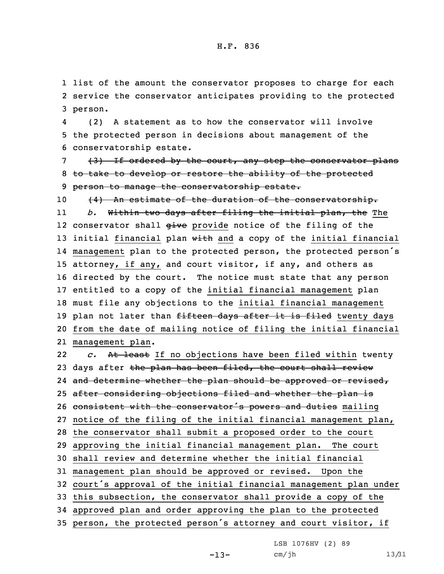1 list of the amount the conservator proposes to charge for each 2 service the conservator anticipates providing to the protected 3 person.

4 (2) <sup>A</sup> statement as to how the conservator will involve 5 the protected person in decisions about management of the 6 conservatorship estate.

7 (3) If ordered by the court, any step the conservator plans 8 to take to develop or restore the ability of the protected 9 person to manage the conservatorship estate.

10 (4) An estimate of the duration of the conservatorship. 11 *b.* Within two days after filing the initial plan, the The 12 conservator shall <del>give</del> provide notice of the filing of the 13 initial financial plan with and a copy of the initial financial 14 management plan to the protected person, the protected person's 15 attorney, if any, and court visitor, if any, and others as 16 directed by the court. The notice must state that any person 17 entitled to <sup>a</sup> copy of the initial financial management plan 18 must file any objections to the initial financial management 19 plan not later than fifteen days after it is filed twenty days 20 from the date of mailing notice of filing the initial financial 21 management plan.

22 *c.* At least If no objections have been filed within twenty 23 days after the plan has been filed, the court shall review 24 <del>and determine whether the plan should be approved or revised,</del> 25 after considering objections filed and whether the plan is 26 consistent with the conservator's powers and duties mailing 27 notice of the filing of the initial financial management plan, 28 the conservator shall submit <sup>a</sup> proposed order to the court 29 approving the initial financial management plan. The court 30 shall review and determine whether the initial financial 31 management plan should be approved or revised. Upon the <sup>32</sup> court's approval of the initial financial management plan under 33 this subsection, the conservator shall provide <sup>a</sup> copy of the 34 approved plan and order approving the plan to the protected <sup>35</sup> person, the protected person's attorney and court visitor, if

LSB 1076HV (2) 89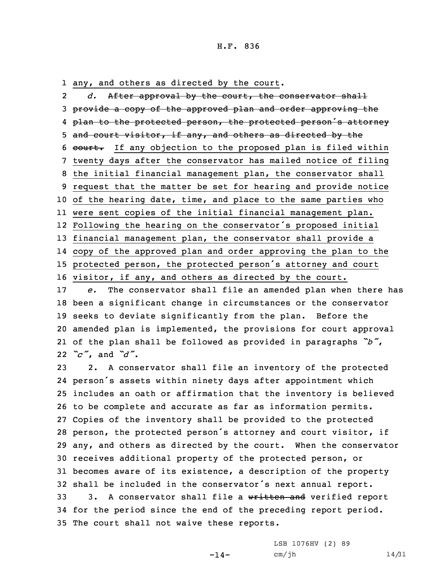#### H.F. 836

1 any, and others as directed by the court.

2 *d.* After approval by the court, the conservator shall 3 provide a copy of the approved plan and order approving the 4 <del>plan to the protected person, the protected person's attorney</del> 5 and court visitor, if any, and others as directed by the 6 court. If any objection to the proposed plan is filed within twenty days after the conservator has mailed notice of filing the initial financial management plan, the conservator shall request that the matter be set for hearing and provide notice of the hearing date, time, and place to the same parties who were sent copies of the initial financial management plan. Following the hearing on the conservator's proposed initial financial management plan, the conservator shall provide <sup>a</sup> copy of the approved plan and order approving the plan to the protected person, the protected person's attorney and court visitor, if any, and others as directed by the court. *e.* The conservator shall file an amended plan when there has been <sup>a</sup> significant change in circumstances or the conservator

 seeks to deviate significantly from the plan. Before the amended plan is implemented, the provisions for court approval of the plan shall be followed as provided in paragraphs *"b"*, *"c"*, and *"d"*.

 2. <sup>A</sup> conservator shall file an inventory of the protected person's assets within ninety days after appointment which includes an oath or affirmation that the inventory is believed to be complete and accurate as far as information permits. Copies of the inventory shall be provided to the protected person, the protected person's attorney and court visitor, if any, and others as directed by the court. When the conservator receives additional property of the protected person, or becomes aware of its existence, <sup>a</sup> description of the property shall be included in the conservator's next annual report. 33 3. A conservator shall file a written and verified report for the period since the end of the preceding report period. The court shall not waive these reports.

-14-

LSB 1076HV (2) 89 cm/jh 14/31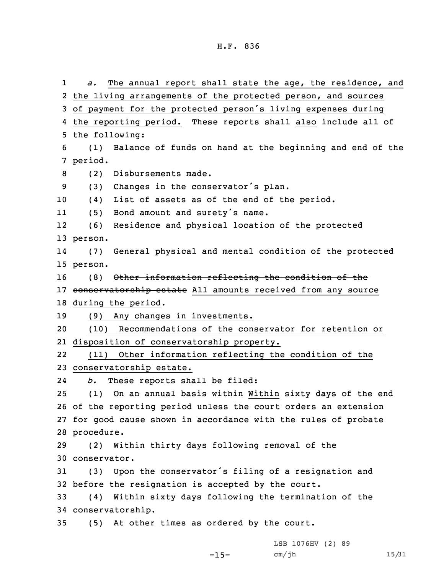1 *a.* The annual report shall state the age, the residence, and 2 the living arrangements of the protected person, and sources <sup>3</sup> of payment for the protected person's living expenses during 4 the reporting period. These reports shall also include all of 5 the following: 6 (1) Balance of funds on hand at the beginning and end of the 7 period. 8 (2) Disbursements made. <sup>9</sup> (3) Changes in the conservator's plan. 10 (4) List of assets as of the end of the period. 11 (5) Bond amount and surety's name. 12 (6) Residence and physical location of the protected 13 person. 14 (7) General physical and mental condition of the protected 15 person. 16 (8) Other information reflecting the condition of the 17 conservatorship estate All amounts received from any source 18 during the period. 19 (9) Any changes in investments. 20 (10) Recommendations of the conservator for retention or 21 disposition of conservatorship property. 22 (11) Other information reflecting the condition of the 23 conservatorship estate. 24 *b.* These reports shall be filed: 25 (1) On an annual basis within Within sixty days of the end 26 of the reporting period unless the court orders an extension 27 for good cause shown in accordance with the rules of probate 28 procedure. 29 (2) Within thirty days following removal of the 30 conservator. <sup>31</sup> (3) Upon the conservator's filing of <sup>a</sup> resignation and 32 before the resignation is accepted by the court. 33 (4) Within sixty days following the termination of the 34 conservatorship. 35 (5) At other times as ordered by the court.

 $-15-$ 

LSB 1076HV (2) 89 cm/jh 15/31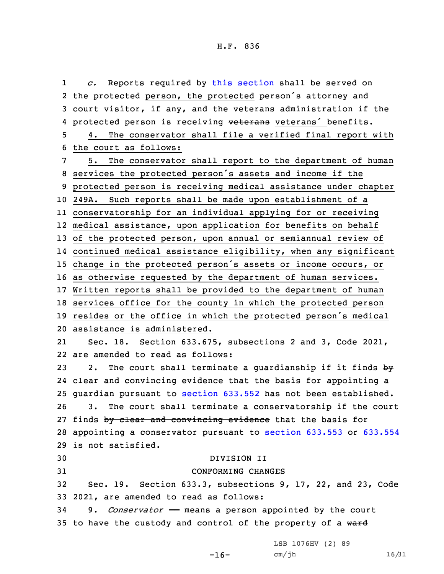1 *c.* Reports required by this [section](https://www.legis.iowa.gov/docs/code/2021/633.670.pdf) shall be served on the protected person, the protected person's attorney and court visitor, if any, and the veterans administration if the 4 protected person is receiving veterans veterans' benefits. 4. The conservator shall file <sup>a</sup> verified final report with the court as follows: 5. The conservator shall report to the department of human services the protected person's assets and income if the protected person is receiving medical assistance under chapter 249A. Such reports shall be made upon establishment of <sup>a</sup> conservatorship for an individual applying for or receiving medical assistance, upon application for benefits on behalf of the protected person, upon annual or semiannual review of continued medical assistance eligibility, when any significant change in the protected person's assets or income occurs, or as otherwise requested by the department of human services. Written reports shall be provided to the department of human services office for the county in which the protected person resides or the office in which the protected person's medical assistance is administered. 21 Sec. 18. Section 633.675, subsections 2 and 3, Code 2021, are amended to read as follows: 23 2. The court shall terminate a quardianship if it finds  $by$ 24 <del>clear and convincing evidence</del> that the basis for appointing a guardian pursuant to [section](https://www.legis.iowa.gov/docs/code/2021/633.552.pdf) 633.552 has not been established. 3. The court shall terminate <sup>a</sup> conservatorship if the court 27 finds by clear and convincing evidence that the basis for appointing <sup>a</sup> conservator pursuant to [section](https://www.legis.iowa.gov/docs/code/2021/633.553.pdf) 633.553 or [633.554](https://www.legis.iowa.gov/docs/code/2021/633.554.pdf) is not satisfied. DIVISION II CONFORMING CHANGES Sec. 19. Section 633.3, subsections 9, 17, 22, and 23, Code 2021, are amended to read as follows: 9. *Conservator* —— means <sup>a</sup> person appointed by the court 35 to have the custody and control of the property of a ward

 $-16-$ 

LSB 1076HV (2) 89 cm/jh 16/31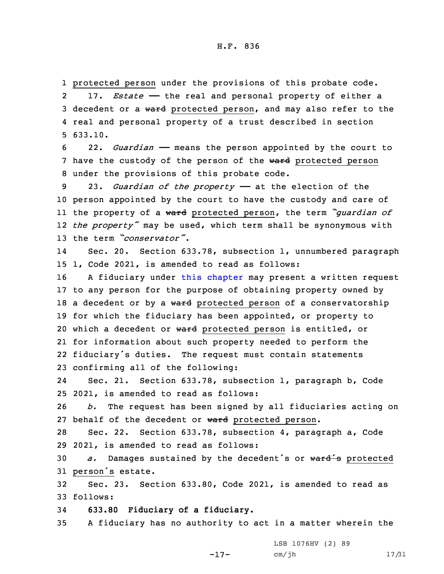1 protected person under the provisions of this probate code. 217. *Estate* – the real and personal property of either a 3 decedent or a ward protected person, and may also refer to the 4 real and personal property of <sup>a</sup> trust described in section 5 633.10.

6 22. *Guardian* —— means the person appointed by the court to 7 have the custody of the person of the ward protected person 8 under the provisions of this probate code.

 23. *Guardian of the property* —— at the election of the person appointed by the court to have the custody and care of the property of <sup>a</sup> ward protected person, the term *"guardian of the property"* may be used, which term shall be synonymous with the term *"conservator"*.

14 Sec. 20. Section 633.78, subsection 1, unnumbered paragraph 15 1, Code 2021, is amended to read as follows:

 <sup>A</sup> fiduciary under this [chapter](https://www.legis.iowa.gov/docs/code/2021/633.pdf) may present <sup>a</sup> written request to any person for the purpose of obtaining property owned by 18 a decedent or by a ward protected person of a conservatorship for which the fiduciary has been appointed, or property to 20 which a decedent or ward protected person is entitled, or for information about such property needed to perform the fiduciary's duties. The request must contain statements confirming all of the following:

24 Sec. 21. Section 633.78, subsection 1, paragraph b, Code 25 2021, is amended to read as follows:

26 *b.* The request has been signed by all fiduciaries acting on 27 behalf of the decedent or ward protected person.

28 Sec. 22. Section 633.78, subsection 4, paragraph a, Code 29 2021, is amended to read as follows:

<sup>30</sup> *a.* Damages sustained by the decedent's or ward's protected <sup>31</sup> person's estate.

32 Sec. 23. Section 633.80, Code 2021, is amended to read as 33 follows:

34 **633.80 Fiduciary of <sup>a</sup> fiduciary.**

35 <sup>A</sup> fiduciary has no authority to act in <sup>a</sup> matter wherein the

-17-

LSB 1076HV (2) 89 cm/jh 17/31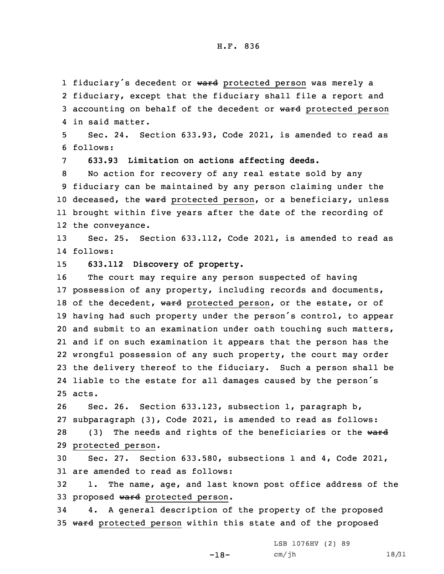1 fiduciary's decedent or ward protected person was merely a

2 fiduciary, except that the fiduciary shall file <sup>a</sup> report and 3 accounting on behalf of the decedent or ward protected person 4 in said matter.

5 Sec. 24. Section 633.93, Code 2021, is amended to read as 6 follows:

7 **633.93 Limitation on actions affecting deeds.**

 No action for recovery of any real estate sold by any fiduciary can be maintained by any person claiming under the 10 deceased, the ward protected person, or a beneficiary, unless brought within five years after the date of the recording of the conveyance.

13 Sec. 25. Section 633.112, Code 2021, is amended to read as 14 follows:

15 **633.112 Discovery of property.**

 The court may require any person suspected of having possession of any property, including records and documents, 18 of the decedent, ward protected person, or the estate, or of having had such property under the person's control, to appear and submit to an examination under oath touching such matters, and if on such examination it appears that the person has the wrongful possession of any such property, the court may order the delivery thereof to the fiduciary. Such <sup>a</sup> person shall be liable to the estate for all damages caused by the person's 25 acts.

 Sec. 26. Section 633.123, subsection 1, paragraph b, subparagraph (3), Code 2021, is amended to read as follows: 28 (3) The needs and rights of the beneficiaries or the ward protected person.

30 Sec. 27. Section 633.580, subsections 1 and 4, Code 2021, 31 are amended to read as follows:

32 1. The name, age, and last known post office address of the 33 proposed ward protected person.

34 4. <sup>A</sup> general description of the property of the proposed 35 ward protected person within this state and of the proposed

-18-

LSB 1076HV (2) 89 cm/jh 18/31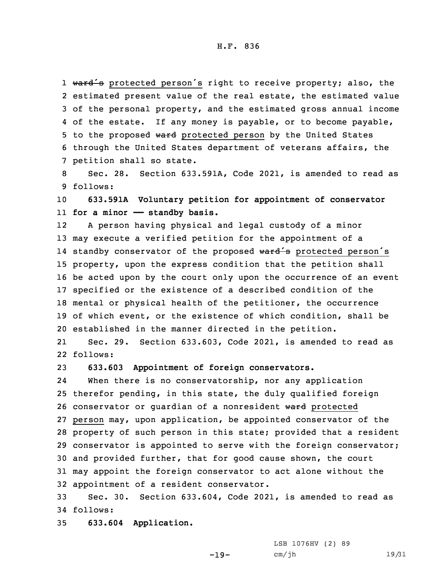1 ward's protected person's right to receive property; also, the estimated present value of the real estate, the estimated value of the personal property, and the estimated gross annual income of the estate. If any money is payable, or to become payable, 5 to the proposed ward protected person by the United States through the United States department of veterans affairs, the petition shall so state.

8 Sec. 28. Section 633.591A, Code 2021, is amended to read as 9 follows:

10 **633.591A Voluntary petition for appointment of conservator** 11 **for <sup>a</sup> minor —— standby basis.**

12 <sup>A</sup> person having physical and legal custody of <sup>a</sup> minor may execute <sup>a</sup> verified petition for the appointment of <sup>a</sup> 14 standby conservator of the proposed <del>ward's</del> protected person's property, upon the express condition that the petition shall be acted upon by the court only upon the occurrence of an event specified or the existence of <sup>a</sup> described condition of the mental or physical health of the petitioner, the occurrence of which event, or the existence of which condition, shall be established in the manner directed in the petition.

21 Sec. 29. Section 633.603, Code 2021, is amended to read as 22 follows:

23 **633.603 Appointment of foreign conservators.**

24When there is no conservatorship, nor any application therefor pending, in this state, the duly qualified foreign 26 conservator or guardian of a nonresident ward protected person may, upon application, be appointed conservator of the property of such person in this state; provided that <sup>a</sup> resident conservator is appointed to serve with the foreign conservator; and provided further, that for good cause shown, the court may appoint the foreign conservator to act alone without the appointment of <sup>a</sup> resident conservator.

33 Sec. 30. Section 633.604, Code 2021, is amended to read as 34 follows:

35 **633.604 Application.**

LSB 1076HV (2) 89 cm/jh 19/31

-19-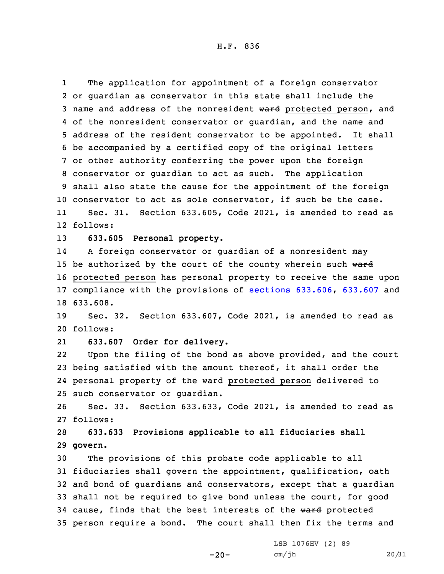H.F. 836

1 The application for appointment of <sup>a</sup> foreign conservator or guardian as conservator in this state shall include the 3 name and address of the nonresident ward protected person, and of the nonresident conservator or guardian, and the name and address of the resident conservator to be appointed. It shall be accompanied by <sup>a</sup> certified copy of the original letters or other authority conferring the power upon the foreign conservator or guardian to act as such. The application shall also state the cause for the appointment of the foreign conservator to act as sole conservator, if such be the case. 11Sec. 31. Section 633.605, Code 2021, is amended to read as

12 follows:

13 **633.605 Personal property.**

14 <sup>A</sup> foreign conservator or guardian of <sup>a</sup> nonresident may 15 be authorized by the court of the county wherein such  $\theta$ ard 16 protected person has personal property to receive the same upon 17 compliance with the provisions of sections [633.606](https://www.legis.iowa.gov/docs/code/2021/633.606.pdf), [633.607](https://www.legis.iowa.gov/docs/code/2021/633.607.pdf) and 18 633.608.

19 Sec. 32. Section 633.607, Code 2021, is amended to read as 20 follows:

21**633.607 Order for delivery.**

22 Upon the filing of the bond as above provided, and the court 23 being satisfied with the amount thereof, it shall order the 24 personal property of the ward protected person delivered to 25 such conservator or guardian.

26 Sec. 33. Section 633.633, Code 2021, is amended to read as 27 follows:

28 **633.633 Provisions applicable to all fiduciaries shall** 29 **govern.**

 The provisions of this probate code applicable to all fiduciaries shall govern the appointment, qualification, oath and bond of guardians and conservators, except that <sup>a</sup> guardian shall not be required to give bond unless the court, for good 34 cause, finds that the best interests of the ward protected person require <sup>a</sup> bond. The court shall then fix the terms and

 $-20-$ 

LSB 1076HV (2) 89 cm/jh 20/31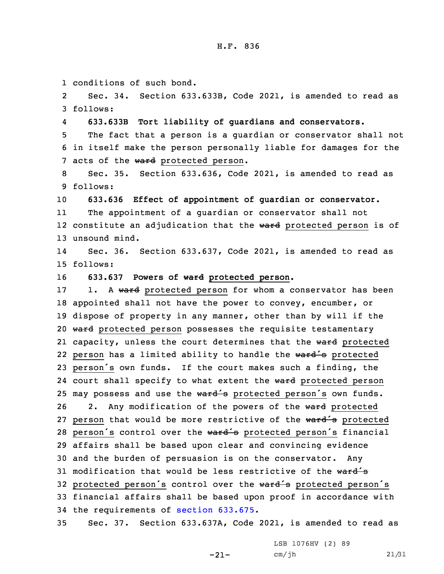1 conditions of such bond.

2 Sec. 34. Section 633.633B, Code 2021, is amended to read as 3 follows:

4**633.633B Tort liability of guardians and conservators.**

5 The fact that <sup>a</sup> person is <sup>a</sup> guardian or conservator shall not 6 in itself make the person personally liable for damages for the 7 acts of the ward protected person.

8 Sec. 35. Section 633.636, Code 2021, is amended to read as 9 follows:

10 **633.636 Effect of appointment of guardian or conservator.**

11 The appointment of <sup>a</sup> guardian or conservator shall not 12 constitute an adjudication that the <del>ward</del> protected person is of 13 unsound mind.

14 Sec. 36. Section 633.637, Code 2021, is amended to read as 15 follows:

16 **633.637 Powers of ward protected person.**

17 1. A ward protected person for whom a conservator has been 18 appointed shall not have the power to convey, encumber, or 19 dispose of property in any manner, other than by will if the 20 ward protected person possesses the requisite testamentary 21 capacity, unless the court determines that the ward protected 22 person has a limited ability to handle the ward's protected <sup>23</sup> person's own funds. If the court makes such <sup>a</sup> finding, the 24 court shall specify to what extent the ward protected person 25 may possess and use the ward's protected person's own funds. 26 2. Any modification of the powers of the ward protected 27 person that would be more restrictive of the ward's protected 28 person's control over the ward's protected person's financial 29 affairs shall be based upon clear and convincing evidence 30 and the burden of persuasion is on the conservator. Any 31 modification that would be less restrictive of the  $\sqrt{4}$ 32 protected person's control over the ward's protected person's 33 financial affairs shall be based upon proof in accordance with 34 the requirements of section [633.675](https://www.legis.iowa.gov/docs/code/2021/633.675.pdf).

35 Sec. 37. Section 633.637A, Code 2021, is amended to read as

-21-

LSB 1076HV (2) 89 cm/jh 21/31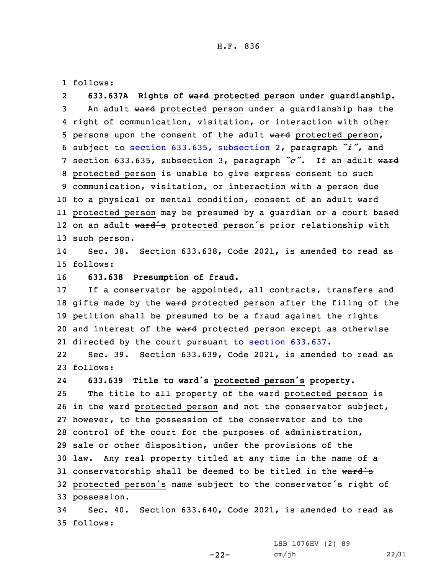#### H.F. 836

1 follows:

2 **633.637A Rights of ward protected person under guardianship.** 3 An adult ward protected person under a guardianship has the 4 right of communication, visitation, or interaction with other 5 persons upon the consent of the adult ward protected person, <sup>6</sup> subject to section 633.635, [subsection](https://www.legis.iowa.gov/docs/code/2021/633.635.pdf) 2, paragraph *"i"*, and <sup>7</sup> section 633.635, subsection 3, paragraph *"c"*. If an adult ward 8 protected person is unable to give express consent to such 9 communication, visitation, or interaction with <sup>a</sup> person due 10 to a physical or mental condition, consent of an adult ward 11 protected person may be presumed by <sup>a</sup> guardian or <sup>a</sup> court based 12 on an adult ward's protected person's prior relationship with 13 such person.

14 Sec. 38. Section 633.638, Code 2021, is amended to read as 15 follows:

16 **633.638 Presumption of fraud.**

17 If <sup>a</sup> conservator be appointed, all contracts, transfers and 18 gifts made by the ward protected person after the filing of the 19 petition shall be presumed to be <sup>a</sup> fraud against the rights 20 and interest of the ward protected person except as otherwise 21 directed by the court pursuant to section [633.637](https://www.legis.iowa.gov/docs/code/2021/633.637.pdf).

22 Sec. 39. Section 633.639, Code 2021, is amended to read as 23 follows:

24**633.639 Title to ward's protected person's property.**

25 The title to all property of the ward protected person is 26 in the ward protected person and not the conservator subject, however, to the possession of the conservator and to the control of the court for the purposes of administration, sale or other disposition, under the provisions of the law. Any real property titled at any time in the name of <sup>a</sup> 31 conservatorship shall be deemed to be titled in the  $\text{ward}'\text{s}$  protected person's name subject to the conservator's right of possession.

34 Sec. 40. Section 633.640, Code 2021, is amended to read as 35 follows:

 $-22-$ 

LSB 1076HV (2) 89 cm/jh 22/31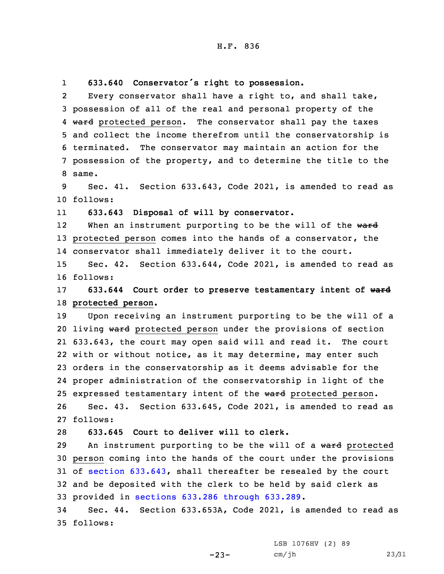1**633.640 Conservator's right to possession.**

2 Every conservator shall have <sup>a</sup> right to, and shall take, 3 possession of all of the real and personal property of the 4 <del>ward</del> protected person. The conservator shall pay the taxes 5 and collect the income therefrom until the conservatorship is 6 terminated. The conservator may maintain an action for the 7 possession of the property, and to determine the title to the 8 same.

9 Sec. 41. Section 633.643, Code 2021, is amended to read as 10 follows:

11**633.643 Disposal of will by conservator.**

12When an instrument purporting to be the will of the ward 13 protected person comes into the hands of a conservator, the 14 conservator shall immediately deliver it to the court.

15 Sec. 42. Section 633.644, Code 2021, is amended to read as 16 follows:

17 **633.644 Court order to preserve testamentary intent of ward** 18 **protected person.**

 Upon receiving an instrument purporting to be the will of <sup>a</sup> 20 living ward protected person under the provisions of section 633.643, the court may open said will and read it. The court with or without notice, as it may determine, may enter such orders in the conservatorship as it deems advisable for the proper administration of the conservatorship in light of the 25 expressed testamentary intent of the ward protected person. Sec. 43. Section 633.645, Code 2021, is amended to read as 27 follows:

28 **633.645 Court to deliver will to clerk.**

29 An instrument purporting to be the will of a ward protected person coming into the hands of the court under the provisions of section [633.643](https://www.legis.iowa.gov/docs/code/2021/633.643.pdf), shall thereafter be resealed by the court and be deposited with the clerk to be held by said clerk as provided in sections 633.286 [through](https://www.legis.iowa.gov/docs/code/2021/633.286.pdf) 633.289.

34 Sec. 44. Section 633.653A, Code 2021, is amended to read as 35 follows:

 $-23-$ 

LSB 1076HV (2) 89 cm/jh 23/31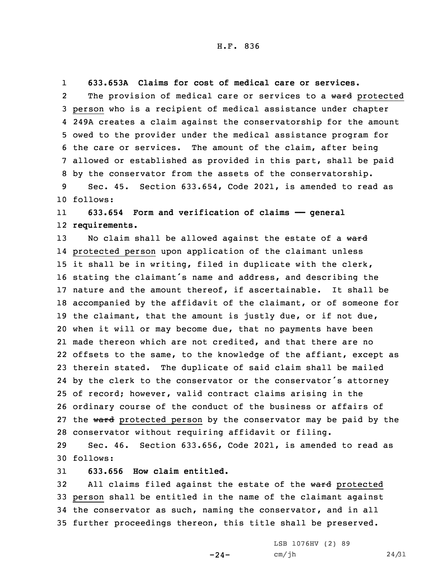1**633.653A Claims for cost of medical care or services.**

2The provision of medical care or services to a ward protected person who is <sup>a</sup> recipient of medical assistance under chapter 249A creates <sup>a</sup> claim against the conservatorship for the amount owed to the provider under the medical assistance program for the care or services. The amount of the claim, after being allowed or established as provided in this part, shall be paid by the conservator from the assets of the conservatorship. Sec. 45. Section 633.654, Code 2021, is amended to read as

10 follows:

11 **633.654 Form and verification of claims —— general** 12 **requirements.**

13 No claim shall be allowed against the estate of a ward protected person upon application of the claimant unless it shall be in writing, filed in duplicate with the clerk, stating the claimant's name and address, and describing the nature and the amount thereof, if ascertainable. It shall be accompanied by the affidavit of the claimant, or of someone for 19 the claimant, that the amount is justly due, or if not due, when it will or may become due, that no payments have been made thereon which are not credited, and that there are no offsets to the same, to the knowledge of the affiant, except as therein stated. The duplicate of said claim shall be mailed by the clerk to the conservator or the conservator's attorney of record; however, valid contract claims arising in the ordinary course of the conduct of the business or affairs of 27 the ward protected person by the conservator may be paid by the conservator without requiring affidavit or filing.

29 Sec. 46. Section 633.656, Code 2021, is amended to read as 30 follows:

31 **633.656 How claim entitled.**

32 All claims filed against the estate of the ward protected person shall be entitled in the name of the claimant against the conservator as such, naming the conservator, and in all further proceedings thereon, this title shall be preserved.

 $-24-$ 

LSB 1076HV (2) 89 cm/jh 24/31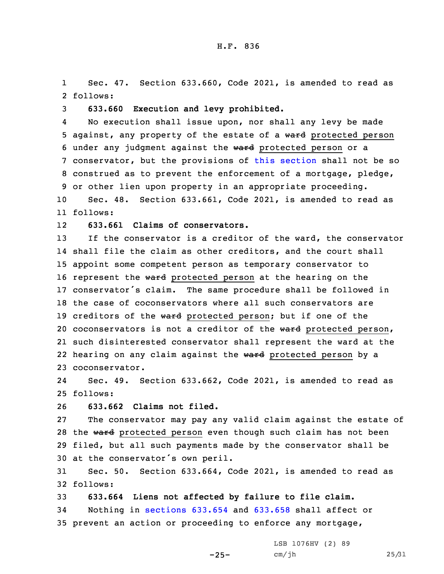1 Sec. 47. Section 633.660, Code 2021, is amended to read as 2 follows:

3 **633.660 Execution and levy prohibited.**

4 No execution shall issue upon, nor shall any levy be made 5 against, any property of the estate of a ward protected person 6 under any judgment against the ward protected person or a 7 conservator, but the provisions of this [section](https://www.legis.iowa.gov/docs/code/2021/633.660.pdf) shall not be so 8 construed as to prevent the enforcement of <sup>a</sup> mortgage, pledge, 9 or other lien upon property in an appropriate proceeding.

10 Sec. 48. Section 633.661, Code 2021, is amended to read as 11 follows:

12**633.661 Claims of conservators.**

 If the conservator is <sup>a</sup> creditor of the ward, the conservator shall file the claim as other creditors, and the court shall appoint some competent person as temporary conservator to 16 represent the ward protected person at the hearing on the conservator's claim. The same procedure shall be followed in the case of coconservators where all such conservators are 19 creditors of the ward protected person; but if one of the 20 coconservators is not a creditor of the ward protected person, such disinterested conservator shall represent the ward at the 22 hearing on any claim against the ward protected person by a coconservator.

24 Sec. 49. Section 633.662, Code 2021, is amended to read as 25 follows:

26 **633.662 Claims not filed.**

 The conservator may pay any valid claim against the estate of 28 the ward protected person even though such claim has not been filed, but all such payments made by the conservator shall be at the conservator's own peril.

31 Sec. 50. Section 633.664, Code 2021, is amended to read as 32 follows:

33 **633.664 Liens not affected by failure to file claim.** 34 Nothing in [sections](https://www.legis.iowa.gov/docs/code/2021/633.654.pdf) 633.654 and [633.658](https://www.legis.iowa.gov/docs/code/2021/633.658.pdf) shall affect or 35 prevent an action or proceeding to enforce any mortgage,

> LSB 1076HV (2) 89 cm/jh 25/31

 $-25-$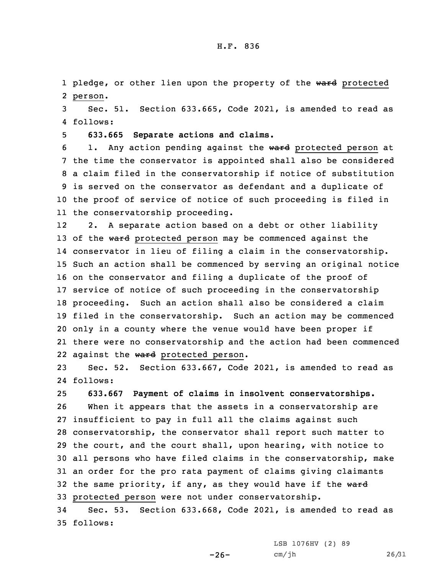1 pledge, or other lien upon the property of the ward protected 2 person.

3 Sec. 51. Section 633.665, Code 2021, is amended to read as 4 follows:

5 **633.665 Separate actions and claims.**

6 1. Any action pending against the ward protected person at the time the conservator is appointed shall also be considered <sup>a</sup> claim filed in the conservatorship if notice of substitution is served on the conservator as defendant and <sup>a</sup> duplicate of the proof of service of notice of such proceeding is filed in the conservatorship proceeding.

12 2. <sup>A</sup> separate action based on <sup>a</sup> debt or other liability 13 of the ward protected person may be commenced against the conservator in lieu of filing <sup>a</sup> claim in the conservatorship. Such an action shall be commenced by serving an original notice on the conservator and filing <sup>a</sup> duplicate of the proof of service of notice of such proceeding in the conservatorship proceeding. Such an action shall also be considered <sup>a</sup> claim filed in the conservatorship. Such an action may be commenced only in <sup>a</sup> county where the venue would have been proper if there were no conservatorship and the action had been commenced 22 against the ward protected person.

23 Sec. 52. Section 633.667, Code 2021, is amended to read as 24 follows:

25 **633.667 Payment of claims in insolvent conservatorships.**

 When it appears that the assets in <sup>a</sup> conservatorship are insufficient to pay in full all the claims against such conservatorship, the conservator shall report such matter to the court, and the court shall, upon hearing, with notice to all persons who have filed claims in the conservatorship, make an order for the pro rata payment of claims giving claimants 32 the same priority, if any, as they would have if the  $w$ ard protected person were not under conservatorship.

34 Sec. 53. Section 633.668, Code 2021, is amended to read as 35 follows:

 $-26-$ 

LSB 1076HV (2) 89 cm/jh 26/31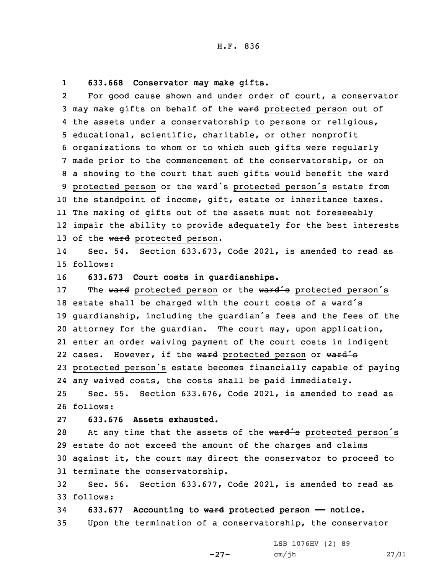#### 1**633.668 Conservator may make gifts.**

2 For good cause shown and under order of court, <sup>a</sup> conservator 3 may make gifts on behalf of the ward protected person out of 4 the assets under <sup>a</sup> conservatorship to persons or religious, 5 educational, scientific, charitable, or other nonprofit 6 organizations to whom or to which such gifts were regularly 7 made prior to the commencement of the conservatorship, or on 8 a showing to the court that such gifts would benefit the ward 9 protected person or the ward's protected person's estate from 10 the standpoint of income, gift, estate or inheritance taxes. 11 The making of gifts out of the assets must not foreseeably 12 impair the ability to provide adequately for the best interests 13 of the ward protected person.

14 Sec. 54. Section 633.673, Code 2021, is amended to read as 15 follows:

16 **633.673 Court costs in guardianships.**

17 The ward protected person or the ward's protected person's estate shall be charged with the court costs of <sup>a</sup> ward's guardianship, including the guardian's fees and the fees of the attorney for the guardian. The court may, upon application, enter an order waiving payment of the court costs in indigent 22 cases. However, if the ward protected person or ward's protected person's estate becomes financially capable of paying any waived costs, the costs shall be paid immediately. Sec. 55. Section 633.676, Code 2021, is amended to read as

26 follows:

## 27 **633.676 Assets exhausted.**

28 At any time that the assets of the ward's protected person's estate do not exceed the amount of the charges and claims against it, the court may direct the conservator to proceed to terminate the conservatorship.

32 Sec. 56. Section 633.677, Code 2021, is amended to read as 33 follows:

34 **633.677 Accounting to ward protected person —— notice.** 35 Upon the termination of <sup>a</sup> conservatorship, the conservator

-27-

LSB 1076HV (2) 89 cm/jh 27/31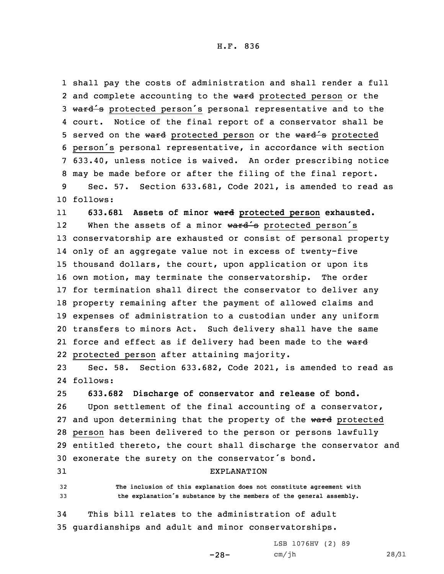H.F. 836

 shall pay the costs of administration and shall render <sup>a</sup> full 2 and complete accounting to the ward protected person or the 3 ward's protected person's personal representative and to the court. Notice of the final report of <sup>a</sup> conservator shall be 5 served on the ward protected person or the ward's protected person's personal representative, in accordance with section 633.40, unless notice is waived. An order prescribing notice may be made before or after the filing of the final report. Sec. 57. Section 633.681, Code 2021, is amended to read as

10 follows:

11

**633.681 Assets of minor ward protected person exhausted.**

12When the assets of a minor  $\text{ward}'\text{s}$  protected person's conservatorship are exhausted or consist of personal property only of an aggregate value not in excess of twenty-five thousand dollars, the court, upon application or upon its own motion, may terminate the conservatorship. The order for termination shall direct the conservator to deliver any property remaining after the payment of allowed claims and expenses of administration to <sup>a</sup> custodian under any uniform transfers to minors Act. Such delivery shall have the same 21 force and effect as if delivery had been made to the <del>ward</del> protected person after attaining majority.

23 Sec. 58. Section 633.682, Code 2021, is amended to read as 24 follows:

25 **633.682 Discharge of conservator and release of bond.**

 Upon settlement of the final accounting of <sup>a</sup> conservator, 27 and upon determining that the property of the ward protected person has been delivered to the person or persons lawfully entitled thereto, the court shall discharge the conservator and exonerate the surety on the conservator's bond.

31 EXPLANATION

32 **The inclusion of this explanation does not constitute agreement with** <sup>33</sup> **the explanation's substance by the members of the general assembly.**

 $-28-$ 

34 This bill relates to the administration of adult 35 guardianships and adult and minor conservatorships.

> LSB 1076HV (2) 89 cm/jh 28/31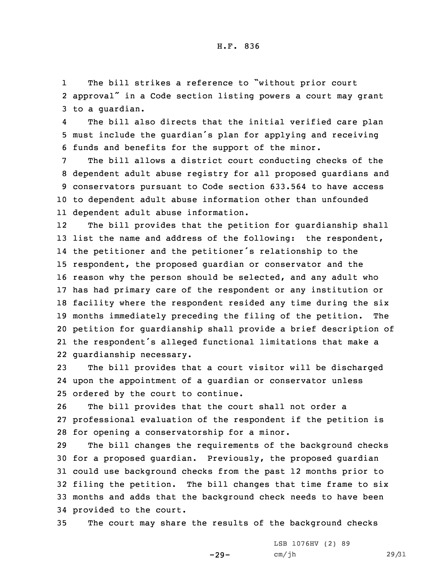1 The bill strikes <sup>a</sup> reference to "without prior court 2 approval" in <sup>a</sup> Code section listing powers <sup>a</sup> court may grant 3 to <sup>a</sup> guardian.

4 The bill also directs that the initial verified care plan <sup>5</sup> must include the guardian's plan for applying and receiving 6 funds and benefits for the support of the minor.

 The bill allows <sup>a</sup> district court conducting checks of the dependent adult abuse registry for all proposed guardians and conservators pursuant to Code section 633.564 to have access to dependent adult abuse information other than unfounded dependent adult abuse information.

12 The bill provides that the petition for guardianship shall list the name and address of the following: the respondent, the petitioner and the petitioner's relationship to the respondent, the proposed guardian or conservator and the reason why the person should be selected, and any adult who has had primary care of the respondent or any institution or facility where the respondent resided any time during the six months immediately preceding the filing of the petition. The petition for guardianship shall provide <sup>a</sup> brief description of the respondent's alleged functional limitations that make <sup>a</sup> guardianship necessary.

23 The bill provides that <sup>a</sup> court visitor will be discharged 24 upon the appointment of <sup>a</sup> guardian or conservator unless 25 ordered by the court to continue.

26 The bill provides that the court shall not order <sup>a</sup> 27 professional evaluation of the respondent if the petition is 28 for opening <sup>a</sup> conservatorship for <sup>a</sup> minor.

 The bill changes the requirements of the background checks for <sup>a</sup> proposed guardian. Previously, the proposed guardian could use background checks from the past 12 months prior to filing the petition. The bill changes that time frame to six months and adds that the background check needs to have been provided to the court.

35 The court may share the results of the background checks

-29-

LSB 1076HV (2) 89 cm/jh 29/31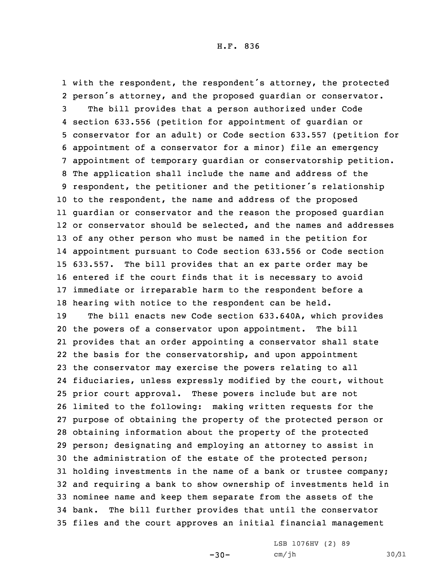with the respondent, the respondent's attorney, the protected person's attorney, and the proposed guardian or conservator. The bill provides that <sup>a</sup> person authorized under Code section 633.556 (petition for appointment of guardian or conservator for an adult) or Code section 633.557 (petition for appointment of <sup>a</sup> conservator for <sup>a</sup> minor) file an emergency appointment of temporary guardian or conservatorship petition. The application shall include the name and address of the respondent, the petitioner and the petitioner's relationship to the respondent, the name and address of the proposed guardian or conservator and the reason the proposed guardian or conservator should be selected, and the names and addresses of any other person who must be named in the petition for appointment pursuant to Code section 633.556 or Code section 633.557. The bill provides that an ex parte order may be entered if the court finds that it is necessary to avoid immediate or irreparable harm to the respondent before <sup>a</sup> hearing with notice to the respondent can be held. The bill enacts new Code section 633.640A, which provides the powers of <sup>a</sup> conservator upon appointment. The bill provides that an order appointing <sup>a</sup> conservator shall state the basis for the conservatorship, and upon appointment the conservator may exercise the powers relating to all fiduciaries, unless expressly modified by the court, without prior court approval. These powers include but are not limited to the following: making written requests for the purpose of obtaining the property of the protected person or obtaining information about the property of the protected person; designating and employing an attorney to assist in the administration of the estate of the protected person; holding investments in the name of <sup>a</sup> bank or trustee company; and requiring <sup>a</sup> bank to show ownership of investments held in nominee name and keep them separate from the assets of the bank. The bill further provides that until the conservator files and the court approves an initial financial management

> LSB 1076HV (2) 89 cm/jh 30/31

-30-